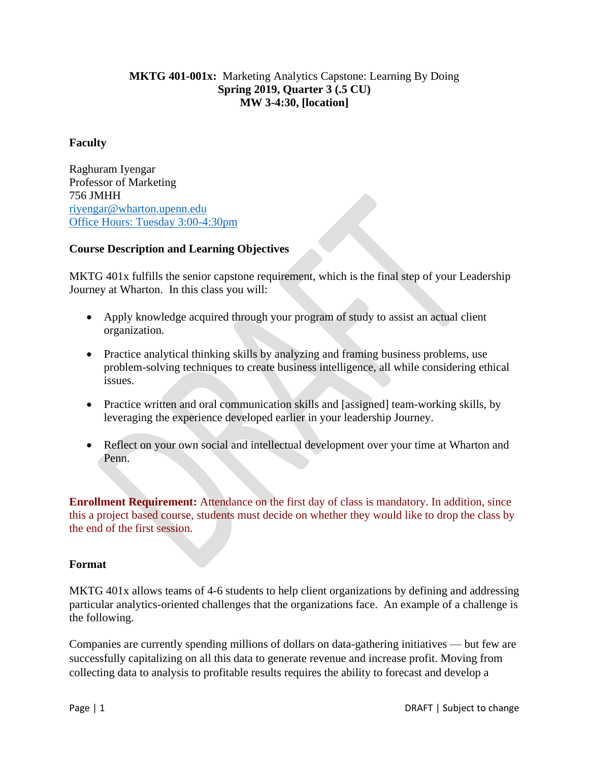## **MKTG 401-001x:** Marketing Analytics Capstone: Learning By Doing **Spring 2019, Quarter 3 (.5 CU) MW 3-4:30, [location]**

## **Faculty**

Raghuram Iyengar Professor of Marketing 756 JMHH [riyengar@wharton.upenn.edu](mailto:https://www.kellerfay.com/measuring-offline-vs-online-word-of-mouth-marketing-2/) Office Hours: Tuesday 3:00-4:30pm

## **Course Description and Learning Objectives**

MKTG 401x fulfills the senior capstone requirement, which is the final step of your Leadership Journey at Wharton. In this class you will:

- Apply knowledge acquired through your program of study to assist an actual client organization.
- Practice analytical thinking skills by analyzing and framing business problems, use problem-solving techniques to create business intelligence, all while considering ethical issues.
- Practice written and oral communication skills and [assigned] team-working skills, by leveraging the experience developed earlier in your leadership Journey.
- Reflect on your own social and intellectual development over your time at Wharton and Penn.

**Enrollment Requirement:** Attendance on the first day of class is mandatory. In addition, since this a project based course, students must decide on whether they would like to drop the class by the end of the first session.

#### **Format**

MKTG 401x allows teams of 4-6 students to help client organizations by defining and addressing particular analytics-oriented challenges that the organizations face. An example of a challenge is the following.

Companies are currently spending millions of dollars on data-gathering initiatives — but few are successfully capitalizing on all this data to generate revenue and increase profit. Moving from collecting data to analysis to profitable results requires the ability to forecast and develop a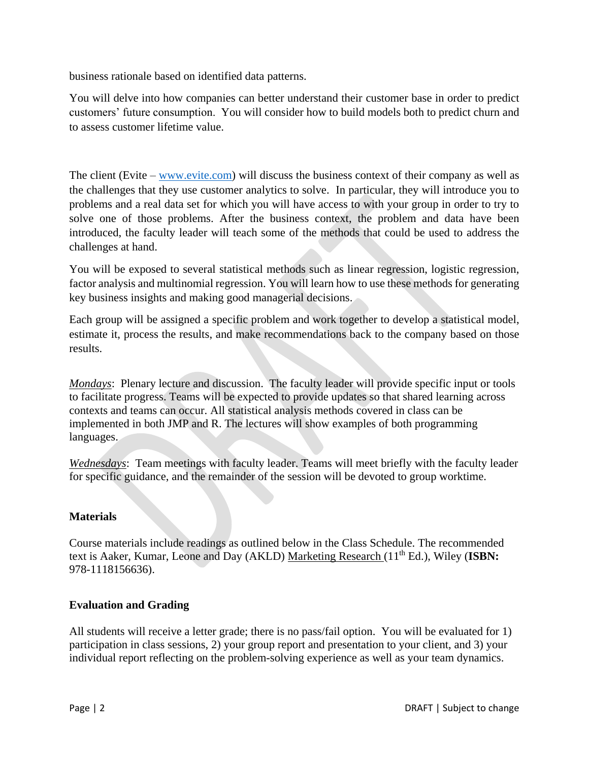business rationale based on identified data patterns.

You will delve into how companies can better understand their customer base in order to predict customers' future consumption. You will consider how to build models both to predict churn and to assess customer lifetime value.

The client (Evite – [www.evite.com\)](http://www.evite.com/) will discuss the business context of their company as well as the challenges that they use customer analytics to solve. In particular, they will introduce you to problems and a real data set for which you will have access to with your group in order to try to solve one of those problems. After the business context, the problem and data have been introduced, the faculty leader will teach some of the methods that could be used to address the challenges at hand.

You will be exposed to several statistical methods such as linear regression, logistic regression, factor analysis and multinomial regression. You will learn how to use these methods for generating key business insights and making good managerial decisions.

Each group will be assigned a specific problem and work together to develop a statistical model, estimate it, process the results, and make recommendations back to the company based on those results.

*Mondays*: Plenary lecture and discussion. The faculty leader will provide specific input or tools to facilitate progress. Teams will be expected to provide updates so that shared learning across contexts and teams can occur. All statistical analysis methods covered in class can be implemented in both JMP and R. The lectures will show examples of both programming languages.

*Wednesdays*: Team meetings with faculty leader. Teams will meet briefly with the faculty leader for specific guidance, and the remainder of the session will be devoted to group worktime.

# **Materials**

Course materials include readings as outlined below in the Class Schedule. The recommended text is Aaker, Kumar, Leone and Day (AKLD) Marketing Research (11th Ed.), Wiley (**ISBN:** 978-1118156636).

#### **Evaluation and Grading**

All students will receive a letter grade; there is no pass/fail option. You will be evaluated for 1) participation in class sessions, 2) your group report and presentation to your client, and 3) your individual report reflecting on the problem-solving experience as well as your team dynamics.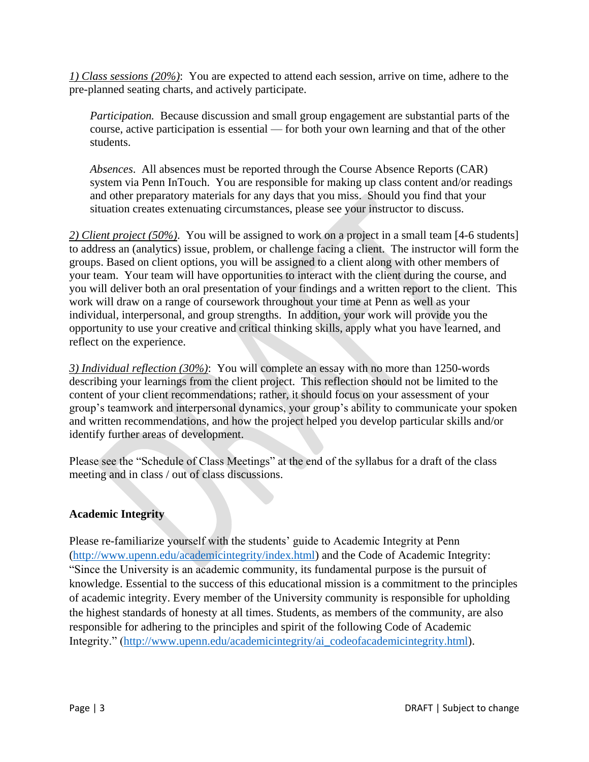*1) Class sessions (20%)*: You are expected to attend each session, arrive on time, adhere to the pre-planned seating charts, and actively participate.

*Participation.* Because discussion and small group engagement are substantial parts of the course, active participation is essential — for both your own learning and that of the other students.

*Absences*. All absences must be reported through the Course Absence Reports (CAR) system via Penn InTouch. You are responsible for making up class content and/or readings and other preparatory materials for any days that you miss. Should you find that your situation creates extenuating circumstances, please see your instructor to discuss.

*2) Client project (50%)*. You will be assigned to work on a project in a small team [4-6 students] to address an (analytics) issue, problem, or challenge facing a client. The instructor will form the groups. Based on client options, you will be assigned to a client along with other members of your team. Your team will have opportunities to interact with the client during the course, and you will deliver both an oral presentation of your findings and a written report to the client. This work will draw on a range of coursework throughout your time at Penn as well as your individual, interpersonal, and group strengths. In addition, your work will provide you the opportunity to use your creative and critical thinking skills, apply what you have learned, and reflect on the experience.

*3) Individual reflection (30%)*: You will complete an essay with no more than 1250-words describing your learnings from the client project. This reflection should not be limited to the content of your client recommendations; rather, it should focus on your assessment of your group's teamwork and interpersonal dynamics, your group's ability to communicate your spoken and written recommendations, and how the project helped you develop particular skills and/or identify further areas of development.

Please see the "Schedule of Class Meetings" at the end of the syllabus for a draft of the class meeting and in class / out of class discussions.

# **Academic Integrity**

Please re-familiarize yourself with the students' guide to Academic Integrity at Penn [\(http://www.upenn.edu/academicintegrity/index.html\)](http://www.upenn.edu/academicintegrity/index.html) and the Code of Academic Integrity: "Since the University is an academic community, its fundamental purpose is the pursuit of knowledge. Essential to the success of this educational mission is a commitment to the principles of academic integrity. Every member of the University community is responsible for upholding the highest standards of honesty at all times. Students, as members of the community, are also responsible for adhering to the principles and spirit of the following Code of Academic Integrity." [\(http://www.upenn.edu/academicintegrity/ai\\_codeofacademicintegrity.html\)](http://www.upenn.edu/academicintegrity/ai_codeofacademicintegrity.html).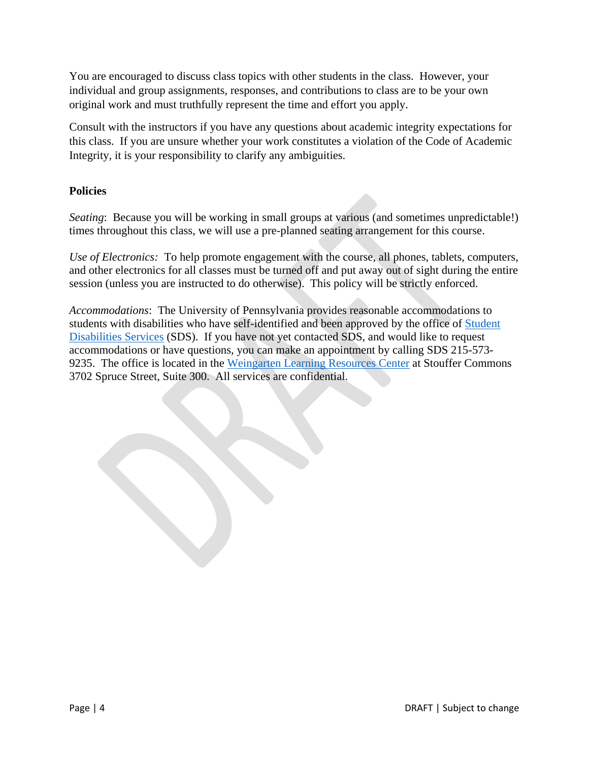You are encouraged to discuss class topics with other students in the class. However, your individual and group assignments, responses, and contributions to class are to be your own original work and must truthfully represent the time and effort you apply.

Consult with the instructors if you have any questions about academic integrity expectations for this class. If you are unsure whether your work constitutes a violation of the Code of Academic Integrity, it is your responsibility to clarify any ambiguities.

# **Policies**

*Seating*: Because you will be working in small groups at various (and sometimes unpredictable!) times throughout this class, we will use a pre-planned seating arrangement for this course.

*Use of Electronics:* To help promote engagement with the course, all phones, tablets, computers, and other electronics for all classes must be turned off and put away out of sight during the entire session (unless you are instructed to do otherwise). This policy will be strictly enforced.

*Accommodations*: The University of Pennsylvania provides reasonable accommodations to students with disabilities who have self-identified and been approved by the office of [Student](http://www.vpul.upenn.edu/lrc/sds/)  [Disabilities Services](http://www.vpul.upenn.edu/lrc/sds/) (SDS). If you have not yet contacted SDS, and would like to request accommodations or have questions, you can make an appointment by calling SDS 215-573- 9235. The office is located in the [Weingarten Learning Resources Center](http://www.vpul.upenn.edu/lrc/) at Stouffer Commons 3702 Spruce Street, Suite 300. All services are confidential.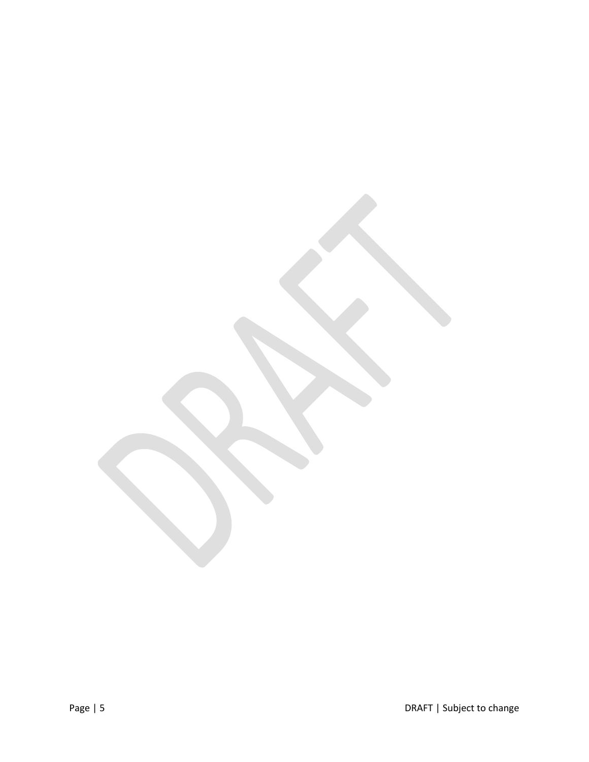Page | 5 DRAFT | Subject to change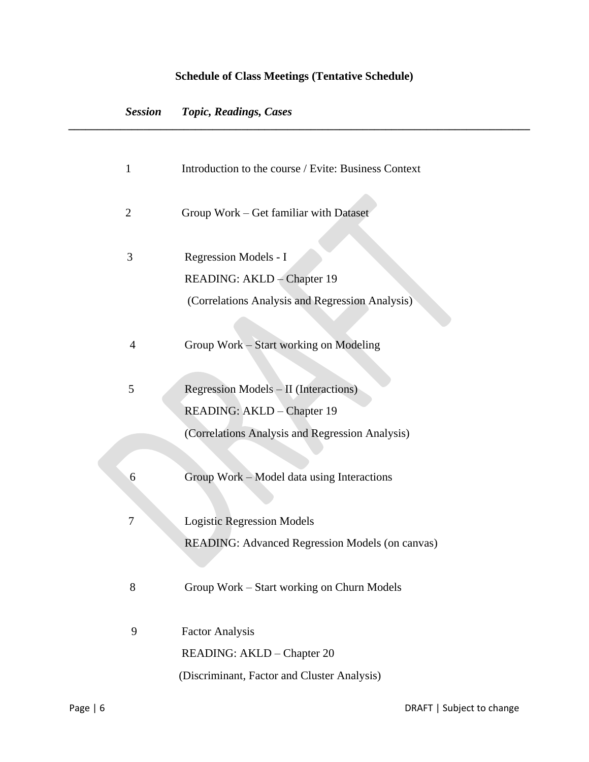# **Schedule of Class Meetings (Tentative Schedule)**

| <b>Session</b> | Topic, Readings, Cases                                 |
|----------------|--------------------------------------------------------|
|                |                                                        |
| $\mathbf{1}$   | Introduction to the course / Evite: Business Context   |
|                |                                                        |
| $\overline{2}$ | Group Work - Get familiar with Dataset                 |
|                |                                                        |
| 3              | Regression Models - I                                  |
|                | READING: AKLD - Chapter 19                             |
|                | (Correlations Analysis and Regression Analysis)        |
|                |                                                        |
| $\overline{4}$ | Group Work - Start working on Modeling                 |
| 5              | Regression Models - II (Interactions)                  |
|                |                                                        |
|                | READING: AKLD - Chapter 19                             |
|                | (Correlations Analysis and Regression Analysis)        |
|                |                                                        |
| 6              | Group Work - Model data using Interactions             |
|                |                                                        |
| 7              | <b>Logistic Regression Models</b>                      |
|                | <b>READING: Advanced Regression Models (on canvas)</b> |
|                |                                                        |
| $8\,$          | Group Work - Start working on Churn Models             |
|                |                                                        |
| 9              | <b>Factor Analysis</b>                                 |
|                | READING: AKLD - Chapter 20                             |
|                | (Discriminant, Factor and Cluster Analysis)            |